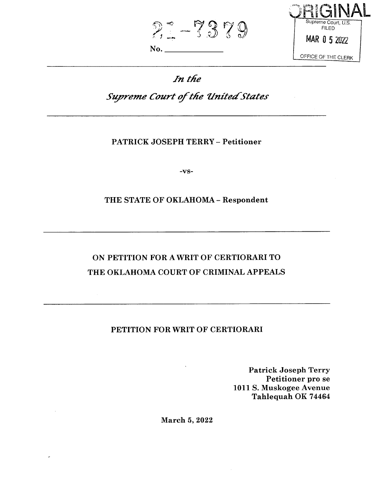FILED 7379 **^ -o-**No.



## *In t/ie*

# *Supreme Court of the United States*

### PATRICK JOSEPH TERRY - Petitioner

-vs-

### THE STATE OF OKLAHOMA - Respondent

## ON PETITION FOR A WRIT OF CERTIORARI TO THE OKLAHOMA COURT OF CRIMINAL APPEALS

### PETITION FOR WRIT OF CERTIORARI

Patrick Joseph Terry Petitioner pro se 1011 S. Muskogee Avenue Tahlequah OK 74464

March 5, 2022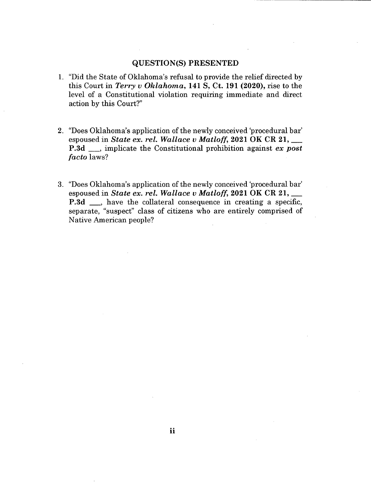#### **QUESTION(S) PRESENTED**

- 1. "Did the State of Oklahoma's refusal to provide the relief directed by this Court in *Terry v Oklahoma,* **141 S, Ct. 191 (2020),** rise to the level of a Constitutional violation requiring immediate and direct action by this Court?"
- 2. "Does Oklahoma's application of the newly conceived 'procedural bar' espoused in *State ex. rel. Wallace v Matloff,* **2021 OK CR 21,**\_\_ **P.3d** ., implicate the Constitutional prohibition against *ex post facto* laws?
- 3. "Does Oklahoma's application of the newly conceived 'procedural bar' espoused in *State ex. rel. Wallace v Matloff,* **2021 OK CR 21,**\_\_ **P.3d** ., have the collateral consequence in creating a specific, separate, "suspect" class of citizens who are entirely comprised of Native American people?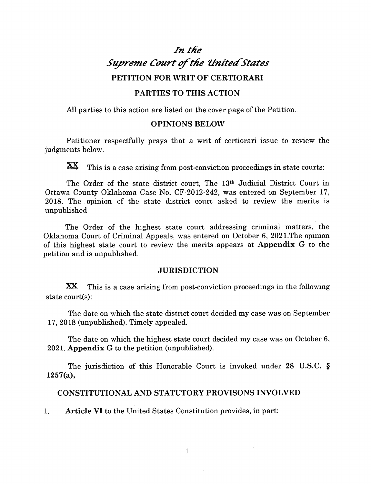## *In ttie Supreme Court of the United States* **PETITION FOR WRIT OF CERTIORARI**

#### **PARTIES TO THIS ACTION**

All parties to this action are listed on the cover page of the Petition.

#### **OPINIONS BELOW**

Petitioner respectfully prays that a writ of certiorari issue to review the judgments below.

XX This is a case arising from post-conviction proceedings in state courts:

The Order of the state district court, The 13th Judicial District Court in Ottawa County Oklahoma Case No. CF-2012-242, was entered on September 17, 2018. The opinion of the state district court asked to review the merits is unpublished

The Order of the highest state court addressing criminal matters, the Oklahoma Court of Criminal Appeals, was entered on October 6, 2021.The opinion of this highest state court to review the merits appears at **Appendix G** to the petition and is unpublished..

#### **JURISDICTION**

**XX** state court(s): This is a case arising from post-conviction proceedings in the following

The date on which the state district court decided my case was on September 17, 2018 (unpublished). Timely appealed.

The date on which the highest state court decided my case was on October 6, 2021. **Appendix** G to the petition (unpublished).

The jurisdiction of this Honorable Court is invoked under **28 U.S.C. § 1257(a),**

#### **CONSTITUTIONAL AND STATUTORY PROVISONS INVOLVED**

1. **Article VI** to the United States Constitution provides, in part: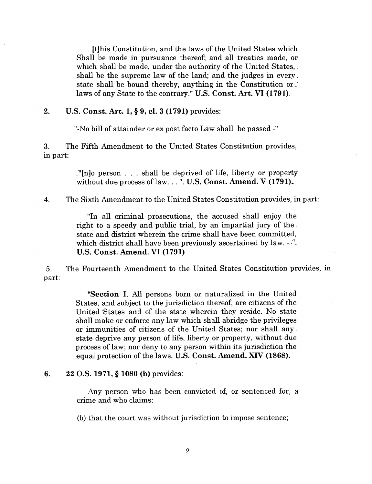. [t]his Constitution, and the laws of the United States which Shall be made in pursuance thereof; and all treaties made, or which shall be made, under the authority of the United States, shall be the supreme law of the land; and the judges in every. state shall be bound thereby, anything in the Constitution or. laws of any State to the contrary." **U.S. Const. Art. VI (1791).**

#### **2. U.S. Const. Art. 1, § 9, cl. 3 (1791)** provides:

"-No bill of attainder or ex post facto Law shall be passed

**3.** The Fifth Amendment to the United States Constitution provides, in part:

> :"[n]o person . . . shall be deprived of life, liberty or property without due process oflaw. . .". **U.S. Const. Amend. V (1791).,**

4. The Sixth Amendment to the United States Constitution provides, in part:

"In all criminal prosecutions, the accused shall enjoy the right to a speedy and public trial, by an impartial jury of the. state and district wherein the crime shall have been committed, which district shall have been previously ascertained by law. . . ". **U.S. Const. Amend. VI (1791)**

5. The Fourteenth Amendment to the United States Constitution provides, in part:

> **"Section I.** All persons born or naturalized in the United States, and subject to the jurisdiction thereof, are citizens of the United States and of the state wherein they reside. No state shall make or enforce any law which shall abridge the privileges or immunities of citizens of the United States; nor shall any state deprive any person of life, liberty or property, without due process of law; nor deny to any person within its jurisdiction the equal protection of the laws. **U.S. Const. Amend. XTV (1868).**

#### **6. 22 O.S. 1971, § 1080 (b)** provides:

Any person who has been convicted of, or sentenced for, a crime and who claims:

(b) that the court was without jurisdiction to impose sentence;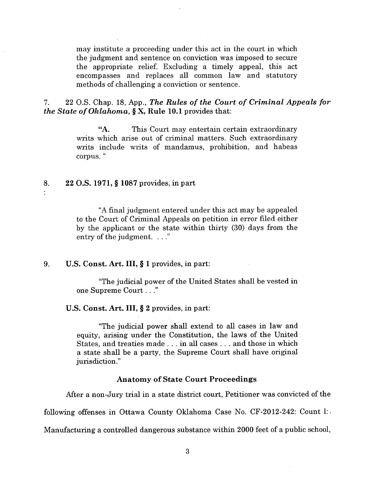may institute a proceeding under this act in the court in which the judgment and sentence on conviction was imposed to secure the appropriate relief. Excluding a timely appeal, this act encompasses and replaces all common law and statutory methods of challenging a conviction or sentence.

22 O.S. Chap. 18, App., *The Rules of the Court of Criminal Appeals for the State ofOklahoma,* **§ X, Rule 10.1** provides that: **7.**

> This Court may entertain certain extraordinary writs which arise out of criminal matters. Such extraordinary writs include writs of mandamus, prohibition, and habeas corpus. " **"A.**

#### **8. 22 O.S. 1971, § 1087** provides, in part

"A final judgment entered under this act may be appealed to the Court of Criminal Appeals on petition in error filed either by the applicant or the state within thirty (30) days from the entry of the judgment. . . ."

#### 9. U.S. **Const. Art. Ill,** § <sup>1</sup> provides, in part:

"The judicial power of the United States shall be vested in one Supreme Court. . ."

#### U.S. **Const. Art. Ill,** § 2 provides, in part:

"The judicial power shall extend to all cases in law and equity, arising under the Constitution, the laws of the United States, and treaties made ... in all cases . . . and those in which a state shall be a party, the Supreme Court shall have original jurisdiction."

#### **Anatomy of State Court Proceedings**

After a non-Jury trial in a state district court, Petitioner was convicted of the

following offenses in Ottawa County Oklahoma Case No. CF-2012-242: Count 1:.

Manufacturing a controlled dangerous substance within 2000 feet of a public school,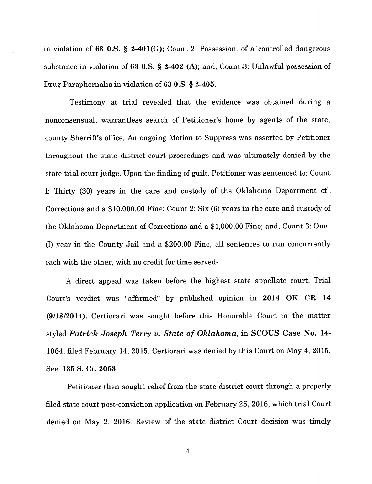in violation of **63 O.S. § 2-401(G);** Count 2: Possession, of a'.controlled dangerous substance in violation of **63 O.S. § 2-402 (A);** and, Count .3: Unlawful possession of Drug Paraphernalia in violation of 63 O.S. § 2-405.

Testimony at trial revealed that the evidence was obtained during a nonconsensual, warrantless search of Petitioner's home by agents of the state, county Sherriffs office. An ongoing Motion to Suppress was asserted by Petitioner throughout the state district court proceedings and was ultimately denied by the state trial court judge. Upon the finding of guilt, Petitioner was sentenced to: Count 1: Thirty (30) years in the care and custody of the Oklahoma Department of. Corrections and a \$10,000.00 Fine; Count 2: Six (6) years in the care and custody of the Oklahoma Department of Corrections and a \$1,000.00 Fine; and, Count 3: One, (I) year in the County Jail and a \$200.00 Fine, all sentences to run concurrently each with the other, with no credit for time served-

A direct appeal was taken before the highest state appellate court. Trial Court's verdict was "affirmed" by published opinion in **2014 OK CR 14 (9/18/2014)..** Certiorari was sought before this Honorable Court in the matter styled *Patrick Joseph Terry v. State of Oklahoma,* in SCOUS Case **No. 14- 1064,** filed February 14, 2015. Certiorari was denied by this Court on May 4, 2015. See: 135 S. Ct. 2053

Petitioner then sought relief from the state district court through a properly filed state court post-conviction application on February 25, 2016, which trial Court denied on May 2, 2016. Review of the state district Court decision was timely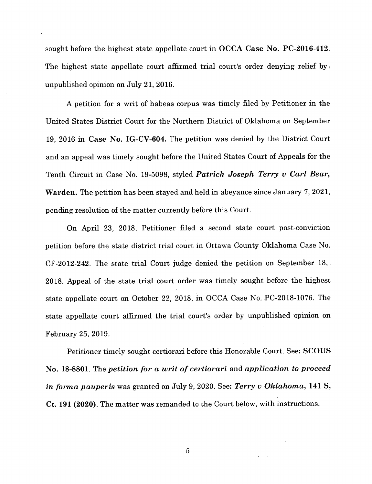sought before the highest state appellate court in OCCA Case No. PC-2016-412. The highest state appellate court affirmed trial court's order denying relief by. unpublished opinion on July 21, 2016.

A petition for a writ of habeas corpus was timely filed by Petitioner in the United States District Court for the Northern District of Oklahoma on September 19, 2016 in Case No. IG-CV-604. The petition was denied by the District Court and an appeal was timely sought before the United States Court of Appeals for the Tenth Circuit in Case No. 19-5098, styled *Patrick Joseph Terry v Carl Bear,* Warden. The petition has been stayed and held in abeyance since January 7, 2021, pending resolution of the matter currently before this Court.

On April 23, 2018, Petitioner filed a second state court post-conviction petition before the state district trial court in Ottawa County Oklahoma Case No. CF-2012-242. The state trial Court judge denied the petition on September 18,. 2018. Appeal of the state trial court order was timely sought before the highest state appellate court on October 22, 2018, in OCCA Case No. PC-2018-1076. The state appellate court affirmed the trial court's order by unpublished opinion on February 25, 2019.

Petitioner timely sought certiorari before this Honorable Court. See: SCOUS No. 18-8801. The *petition for a writ of certiorari* and *application to proceed in forma pauperis* was granted on July 9, 2020. See: *Terry v Oklahoma,* **141 S, Ct. 191 (2020).** The matter was remanded to the Court below, with instructions.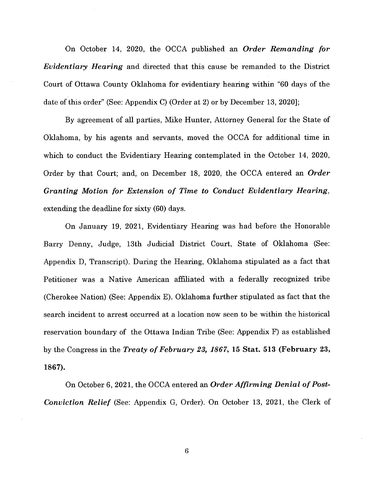On October 14, 2020, the OCCA published an *Order Remanding for Evidentiary Hearing* and directed that this cause be remanded to the District Court of Ottawa County Oklahoma for evidentiary hearing within "60 days of the date of this order" (See: Appendix C) (Order at 2) or by December 13, 2020];

By agreement of all parties, Mike Hunter, Attorney General for the State of Oklahoma, by his agents and servants, moved the OCCA for additional time in which to conduct the Evidentiary Hearing contemplated in the October 14, 2020, Order by that Court; and, on December 18, 2020, the OCCA entered an *Order Granting Motion for Extension of Time to Conduct Evidentiary Hearing,* extending the deadline for sixty (60) days.

On January 19, 2021, Evidentiary Hearing was had before the Honorable Barry Denny, Judge, 13th Judicial District Court, State of Oklahoma (See: Appendix D, Transcript). During the Hearing, Oklahoma stipulated as a fact that Petitioner was a Native American affiliated with a federally recognized tribe (Cherokee Nation) (See: Appendix E). Oklahoma further stipulated as fact that the search incident to arrest occurred at a location now seen to be within the historical reservation boundary of the Ottawa Indian Tribe (See: Appendix F) as established by the Congress in the *Treaty ofFebruary 23, 1867,* **15 Stat. 513 (February 23, 1867).**

On October 6, 2021, the OCCA entered an *Order Affirming Denial of Post-Conviction Relief* (See: Appendix G, Order). On October 13, 2021, the Clerk of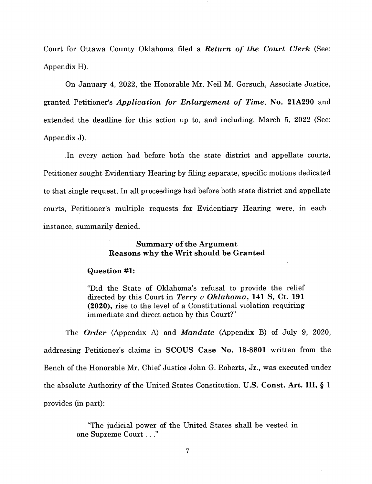Court for Ottawa County Oklahoma filed a *Return of the Court Clerk* (See: Appendix H).

On January 4, 2022, the Honorable Mr. Neil M. Gorsuch, Associate Justice, granted Petitioner's *Application for Enlargement of Time,* **No. 21A290** and extended the deadline for this action up to, and including, March 5, 2022 (See: Appendix J).

In every action had before both the state district and appellate courts, Petitioner sought Evidentiary Hearing by filing separate, specific motions dedicated to that single request. In all proceedings had before both state district and appellate courts, Petitioner's multiple requests for Evidentiary Hearing were, in each instance, summarily denied.

#### **Summary** of the Argument **Reasons why the Writ should be Granted**

#### **Question #1:**

"Did the State of Oklahoma's refusal to provide the relief directed by this Court in *Terry v Oklahoma,* **141 S,** Ct. **191 (2020),** rise to the level of a Constitutional violation requiring immediate and direct action by this Court?"

The *Order* (Appendix A) and *Mandate* (Appendix B) of July 9, 2020, addressing Petitioner's claims in **SCOUS Case No. 18-8801** written from the Bench of the Honorable Mr. Chief Justice John G. Roberts, Jr., was executed under the absolute Authority of the United States Constitution. U.S. **Const. Art. Ill,** § <sup>1</sup> provides (in part):

> "The judicial power of the United States shall be vested in one Supreme Court. . ."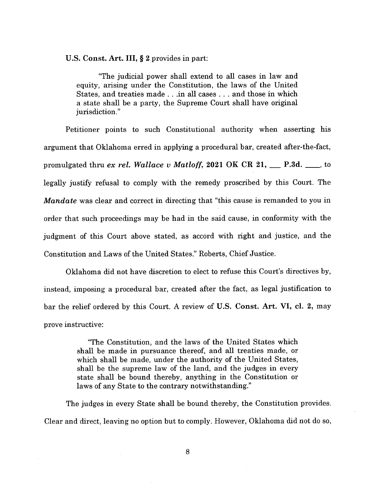**U.S. Const. Art. Ill, § 2** provides in part:

"The judicial power shall extend to all cases in law and equity, arising under the Constitution, the laws of the United States, and treaties made . . .in all cases . . . and those in which a state shall be a party, the Supreme Court shall have original jurisdiction."

Petitioner points to such Constitutional authority when asserting his argument that Oklahoma erred in applying a procedural bar, created after-the-fact, promulgated thru *ex rel. Wallace v Matloff,* **2021 OK CR 21, P.3d.** ., to legally justify refusal to comply with the remedy proscribed by this Court. The *Mandate* was clear and correct in directing that "this cause is remanded to you in order that such proceedings may be had in the said cause, in conformity with the judgment of this Court above stated, as accord with right and justice, and the Constitution and Laws of the United States." Roberts, Chief Justice.

Oklahoma did not have discretion to elect to refuse this Court's directives by, instead, imposing a procedural bar, created after the fact, as legal justification to bar the relief ordered by this Court. A review of **U.S. Const. Art. VI, cl. 2,** may prove instructive:

> "The Constitution, and the laws of the United States which shall be made in pursuance thereof, and all treaties made, or which shall be made, under the authority of the United States, shall be the supreme law of the land, and the judges in every state shall be bound thereby, anything in the Constitution or laws of any State to the contrary notwithstanding."

The judges in every State shall be bound thereby, the Constitution provides. Clear and direct, leaving no option but to comply. However, Oklahoma did not do so,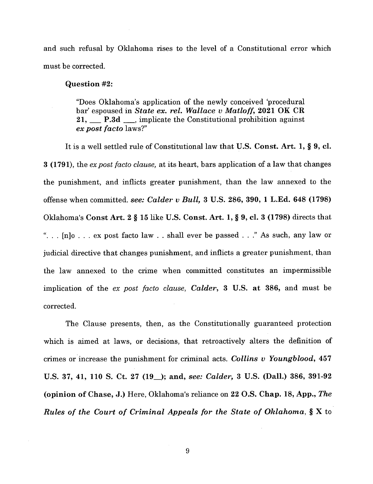and such refusal by Oklahoma rises to the level of a Constitutional error which must be corrected.

#### **Question #2:**

"Does Oklahoma's application of the newly conceived 'procedural bar' espoused in *State ex. rel. Wallace v Matloff,* **2021 OK CR 21,**\_\_ **P.3d**\_\_\_ , implicate the Constitutional prohibition against *ex post facto* laws?"

It is a well settled rule of Constitutional law that **U.S. Const. Art. 1, § 9, cl. 3 (1791),** the *expost facto clause,* at its heart, bars application of a law that changes the punishment, and inflicts greater punishment, than the law annexed to the offense when committed, *see: Calder v Bull,* **3 U.S. 286, 390, <sup>1</sup> L.Ed. 648 (1798)** Oklahoma's **Const Art. 2 § 15** like **U.S. Const. Art. 1, § 9, cl. 3 (1798)** directs that ". . . [n]o ... ex post facto law . . shall ever be passed ..." As such, any law or judicial directive that changes punishment, and inflicts a greater punishment, than the law annexed to the crime when committed constitutes an impermissible implication of the *ex post facto clause, Calder,* 3 U.S. **at 386,** and must be corrected.

The Clause presents, then, as the Constitutionally guaranteed protection which is aimed at laws, or decisions, that retroactively alters the definition of crimes or increase the punishment for criminal acts. *Collins v Youngblood,* **457** U.S. **37,** 41, **110** S. **Ct. 27** (19\_); **and,** *see: Calder,* **3 U.S. (Dali.) 386, 391-92 (opinion of Chase, J.)** Here, Oklahoma's reliance on **22 O.S. Chap. 18, App.,** *The Rules of the Court of Criminal Appeals for the State of Oklahoma,* § X to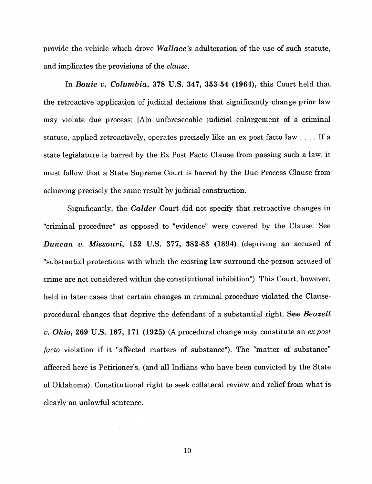provide the vehicle which drove *Wallace's* adulteration of the use of such statute, and implicates the provisions of the *clause.*

In *Bouie v. Columbia,* 378 U.S. 347, 353-54 (1964), this Court held that the retroactive application of judicial decisions that significantly change prior law may violate due process: [A]n unforeseeable judicial enlargement of a criminal statute, applied retroactively, operates precisely like an ex post facto law .... If <sup>a</sup> state legislature is barred by the Ex Post Facto Clause from passing such a law, it must follow that a State Supreme Court is barred by the Due Process Clause from achieving precisely the same result by judicial construction.

Significantly, the *Calder* Court did not specify that retroactive changes in "criminal procedure" as opposed to "evidence" were covered by the Clause. See *Duncan v. Missouri,* 152 U.S. 377, 382-83 (1894) (depriving an accused of "substantial protections with which the existing law surround the person accused of crime are not considered within the constitutional inhibition"). This Court, however, held in later cases that certain changes in criminal procedure violated the Clauseprocedural changes that deprive the defendant of a substantial right. See *Beazell v. Ohio,* 269 U.S. 167, 171 (1925) (A procedural change may constitute an *ex post facto* violation if it "affected matters of substance"). The "matter of substance" affected here is Petitioner's, (and all Indians who have been convicted by the State of Oklahoma), Constitutional right to seek collateral review and relief from what is clearly an unlawful sentence.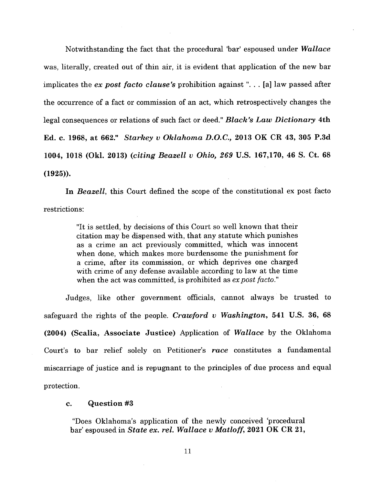Notwithstanding the fact that the procedural 'bar' espoused under *Wallace* was, literally, created out of thin air, it is evident that application of the new bar implicates the *ex* post facto clause's prohibition against"... [a] law passed after the occurrence of a fact or commission of an act, which retrospectively changes the legal consequences or relations of such fact or deed." *Black's Law Dictionary* **4th Ed. c. 1968, at 662."** *Starkey v Oklahoma D.O.C.,* **2013 OK CR 43, 305 P.3d 1004, 1018 (Okl. 2013) (***citing Beazell v Ohio, 269* **U.S. 167,170, 46 S. Ct. 68 (1925)).**

**In** *Beazell,* this Court defined the scope of the constitutional ex post facto restrictions:

> "It is settled, by decisions of this Court so well known that their citation may be dispensed with, that any statute which punishes as a crime an act previously committed, which was innocent when done, which makes more burdensome the punishment for a crime, after its commission, or which deprives one charged with crime of any defense available according to law at the time when the act was committed, is prohibited as *ex post facto*."

Judges, like other government officials, cannot always be trusted to safeguard the rights of the people. *Crawford v Washington,* **541 U.S. 36, 68 (2004) (Scalia, Associate Justice)** Application of *Wallace* by the Oklahoma Court's to bar relief solely on Petitioner's *race* constitutes a fundamental miscarriage of justice and is repugnant to the principles of due process and equal protection.

#### **c. Question #3**

"Does Oklahoma's application of the newly conceived 'procedural bar' espoused in *State ex. rel. Wallace v Matloff,* **2021 OK CR 21,**